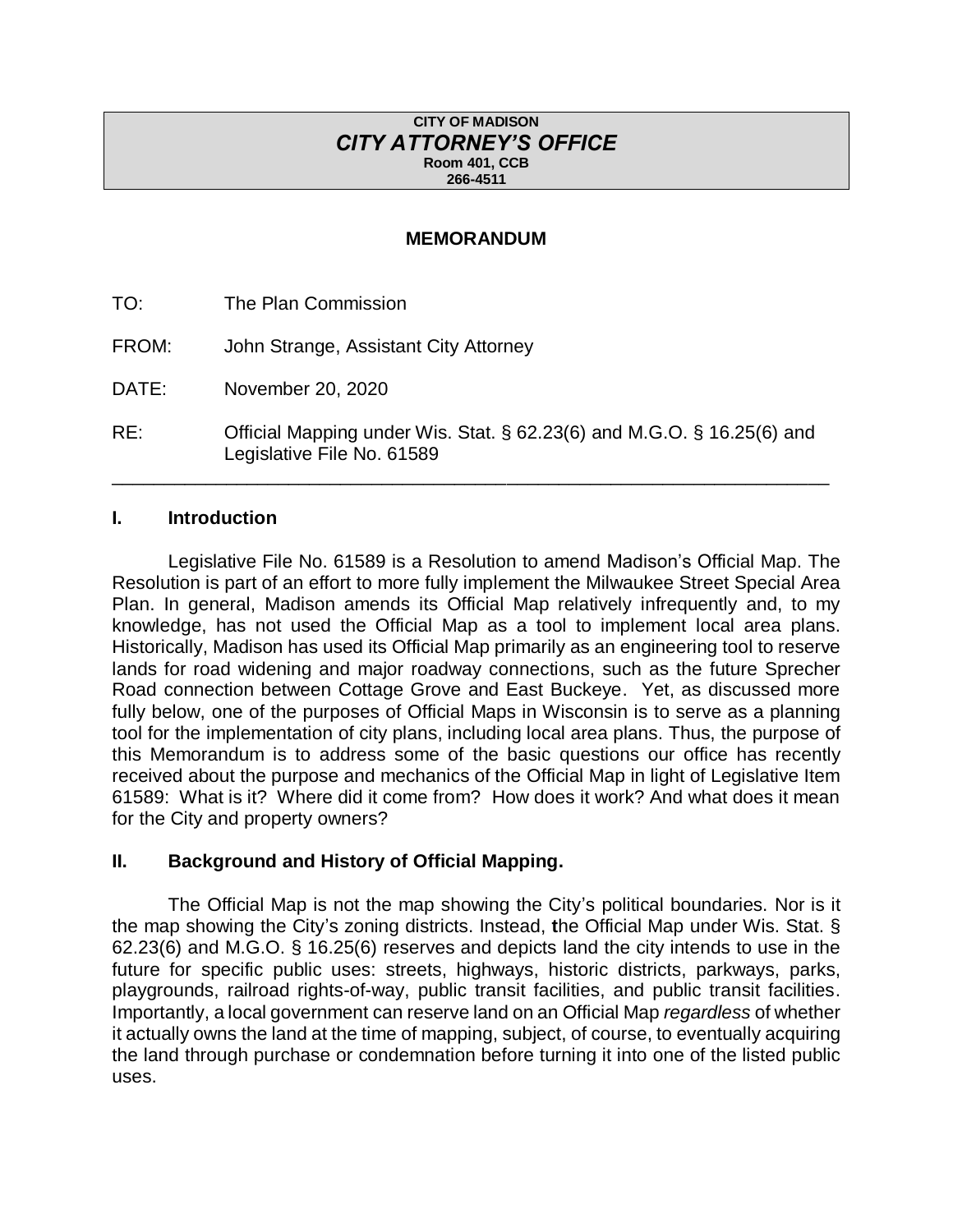#### **CITY OF MADISON** *CITY ATTORNEY'S OFFICE* **Room 401, CCB 266-4511**

#### **MEMORANDUM**

TO: The Plan Commission FROM: John Strange, Assistant City Attorney DATE: November 20, 2020

RE: Official Mapping under Wis. Stat. § 62.23(6) and M.G.O. § 16.25(6) and Legislative File No. 61589

\_\_\_\_\_\_\_\_\_\_\_\_\_\_\_\_\_\_\_\_\_\_\_\_\_\_\_\_\_\_\_\_\_\_\_\_\_\_\_\_\_\_\_\_\_\_\_\_\_\_\_\_\_\_\_\_\_\_\_\_\_\_\_\_\_\_\_\_\_

#### **I. Introduction**

Legislative File No. 61589 is a Resolution to amend Madison's Official Map. The Resolution is part of an effort to more fully implement the Milwaukee Street Special Area Plan. In general, Madison amends its Official Map relatively infrequently and, to my knowledge, has not used the Official Map as a tool to implement local area plans. Historically, Madison has used its Official Map primarily as an engineering tool to reserve lands for road widening and major roadway connections, such as the future Sprecher Road connection between Cottage Grove and East Buckeye. Yet, as discussed more fully below, one of the purposes of Official Maps in Wisconsin is to serve as a planning tool for the implementation of city plans, including local area plans. Thus, the purpose of this Memorandum is to address some of the basic questions our office has recently received about the purpose and mechanics of the Official Map in light of Legislative Item 61589: What is it? Where did it come from? How does it work? And what does it mean for the City and property owners?

#### **II. Background and History of Official Mapping.**

The Official Map is not the map showing the City's political boundaries. Nor is it the map showing the City's zoning districts. Instead, **t**he Official Map under Wis. Stat. § 62.23(6) and M.G.O. § 16.25(6) reserves and depicts land the city intends to use in the future for specific public uses: streets, highways, historic districts, parkways, parks, playgrounds, railroad rights-of-way, public transit facilities, and public transit facilities. Importantly, a local government can reserve land on an Official Map *regardless* of whether it actually owns the land at the time of mapping, subject, of course, to eventually acquiring the land through purchase or condemnation before turning it into one of the listed public uses.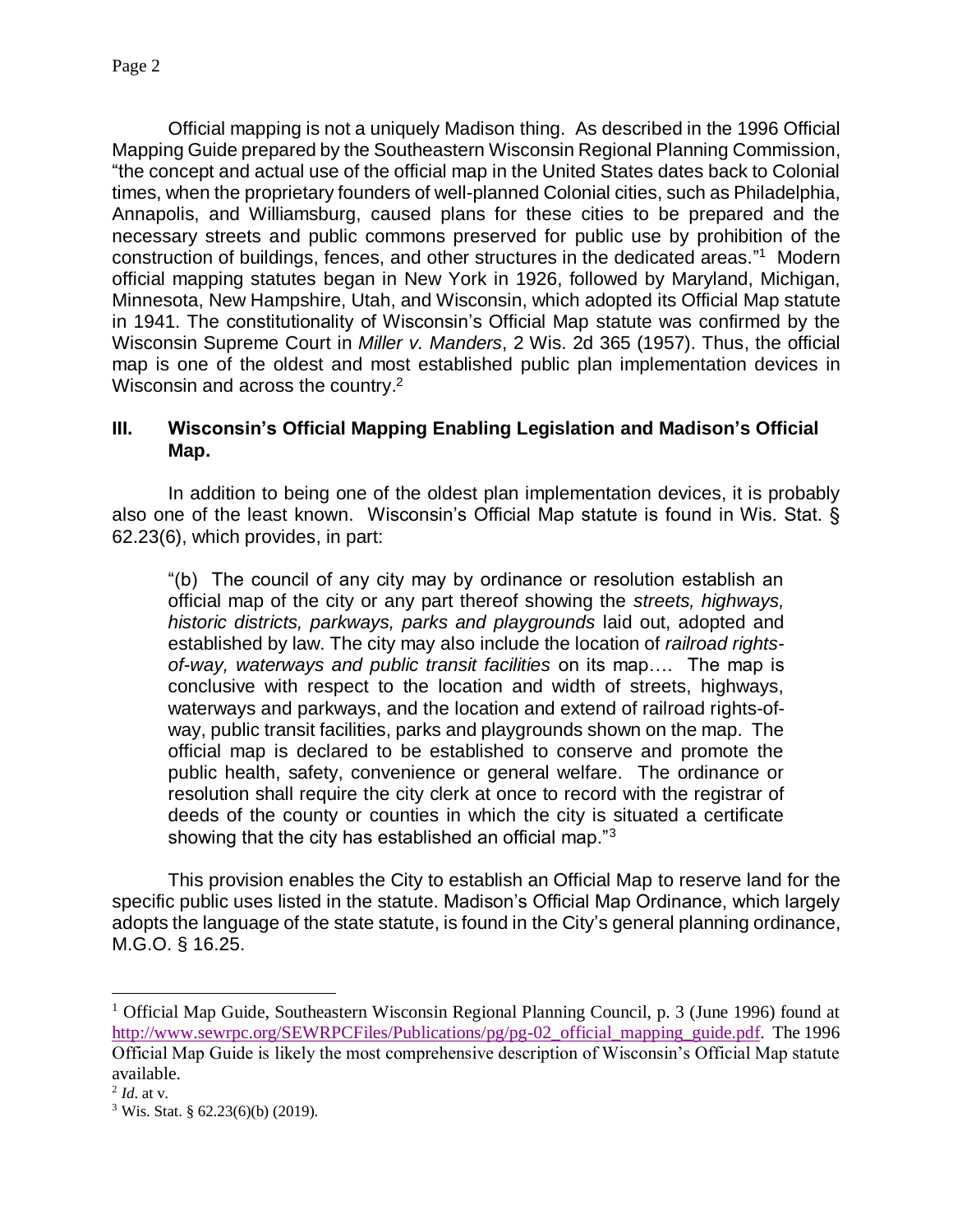Official mapping is not a uniquely Madison thing. As described in the 1996 Official Mapping Guide prepared by the Southeastern Wisconsin Regional Planning Commission, "the concept and actual use of the official map in the United States dates back to Colonial times, when the proprietary founders of well-planned Colonial cities, such as Philadelphia, Annapolis, and Williamsburg, caused plans for these cities to be prepared and the necessary streets and public commons preserved for public use by prohibition of the construction of buildings, fences, and other structures in the dedicated areas." 1 Modern official mapping statutes began in New York in 1926, followed by Maryland, Michigan, Minnesota, New Hampshire, Utah, and Wisconsin, which adopted its Official Map statute in 1941. The constitutionality of Wisconsin's Official Map statute was confirmed by the Wisconsin Supreme Court in *Miller v. Manders*, 2 Wis. 2d 365 (1957). Thus, the official map is one of the oldest and most established public plan implementation devices in Wisconsin and across the country.<sup>2</sup>

### **III. Wisconsin's Official Mapping Enabling Legislation and Madison's Official Map.**

In addition to being one of the oldest plan implementation devices, it is probably also one of the least known. Wisconsin's Official Map statute is found in Wis. Stat. § 62.23(6), which provides, in part:

"(b) The council of any city may by ordinance or resolution establish an official map of the city or any part thereof showing the *streets, highways, historic districts, parkways, parks and playgrounds* laid out, adopted and established by law. The city may also include the location of *railroad rightsof-way, waterways and public transit facilities* on its map…. The map is conclusive with respect to the location and width of streets, highways, waterways and parkways, and the location and extend of railroad rights-ofway, public transit facilities, parks and playgrounds shown on the map. The official map is declared to be established to conserve and promote the public health, safety, convenience or general welfare. The ordinance or resolution shall require the city clerk at once to record with the registrar of deeds of the county or counties in which the city is situated a certificate showing that the city has established an official map." $3$ 

This provision enables the City to establish an Official Map to reserve land for the specific public uses listed in the statute. Madison's Official Map Ordinance, which largely adopts the language of the state statute, is found in the City's general planning ordinance, M.G.O. § 16.25.

l

<sup>&</sup>lt;sup>1</sup> Official Map Guide, Southeastern Wisconsin Regional Planning Council, p. 3 (June 1996) found at [http://www.sewrpc.org/SEWRPCFiles/Publications/pg/pg-02\\_official\\_mapping\\_guide.pdf.](http://www.sewrpc.org/SEWRPCFiles/Publications/pg/pg-02_official_mapping_guide.pdf) The 1996 Official Map Guide is likely the most comprehensive description of Wisconsin's Official Map statute available.

<sup>2</sup> *Id*. at v.

<sup>3</sup> Wis. Stat. § 62.23(6)(b) (2019).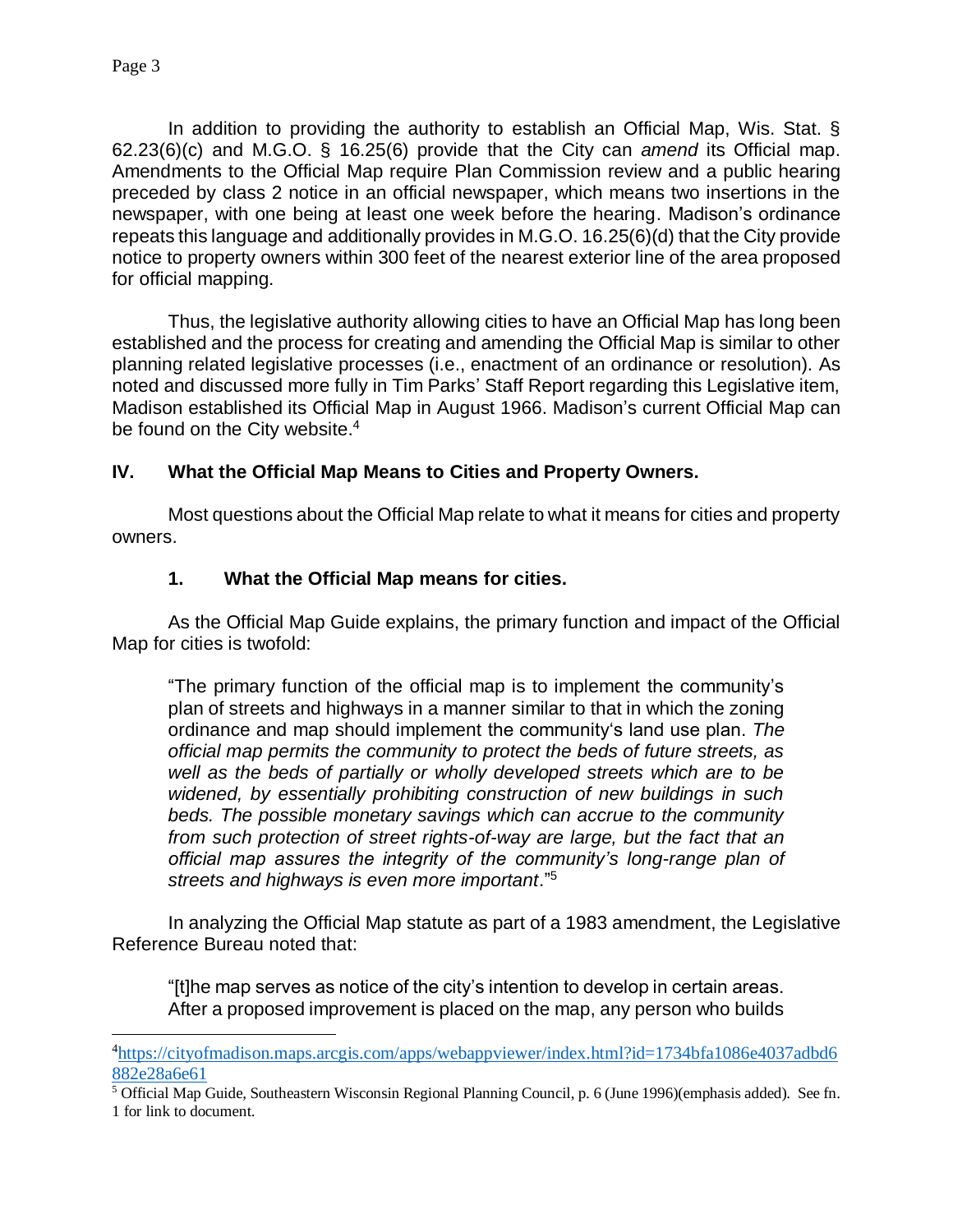$\overline{\phantom{a}}$ 

In addition to providing the authority to establish an Official Map, Wis. Stat. § 62.23(6)(c) and M.G.O. § 16.25(6) provide that the City can *amend* its Official map. Amendments to the Official Map require Plan Commission review and a public hearing preceded by class 2 notice in an official newspaper, which means two insertions in the newspaper, with one being at least one week before the hearing. Madison's ordinance repeats this language and additionally provides in M.G.O. 16.25(6)(d) that the City provide notice to property owners within 300 feet of the nearest exterior line of the area proposed for official mapping.

Thus, the legislative authority allowing cities to have an Official Map has long been established and the process for creating and amending the Official Map is similar to other planning related legislative processes (i.e., enactment of an ordinance or resolution). As noted and discussed more fully in Tim Parks' Staff Report regarding this Legislative item, Madison established its Official Map in August 1966. Madison's current Official Map can be found on the City website.<sup>4</sup>

## **IV. What the Official Map Means to Cities and Property Owners.**

Most questions about the Official Map relate to what it means for cities and property owners.

### **1. What the Official Map means for cities.**

As the Official Map Guide explains, the primary function and impact of the Official Map for cities is twofold:

"The primary function of the official map is to implement the community's plan of streets and highways in a manner similar to that in which the zoning ordinance and map should implement the community's land use plan. *The official map permits the community to protect the beds of future streets, as well as the beds of partially or wholly developed streets which are to be widened, by essentially prohibiting construction of new buildings in such beds. The possible monetary savings which can accrue to the community from such protection of street rights-of-way are large, but the fact that an official map assures the integrity of the community's long-range plan of streets and highways is even more important*." 5

In analyzing the Official Map statute as part of a 1983 amendment, the Legislative Reference Bureau noted that:

"[t]he map serves as notice of the city's intention to develop in certain areas. After a proposed improvement is placed on the map, any person who builds

<sup>&</sup>lt;sup>4</sup>[https://cityofmadison.maps.arcgis.com/apps/webappviewer/index.html?id=1734bfa1086e4037adbd6](https://cityofmadison.maps.arcgis.com/apps/webappviewer/index.html?id=1734bfa1086e4037adbd6882e28a6e61) [882e28a6e61](https://cityofmadison.maps.arcgis.com/apps/webappviewer/index.html?id=1734bfa1086e4037adbd6882e28a6e61)

<sup>5</sup> Official Map Guide, Southeastern Wisconsin Regional Planning Council, p. 6 (June 1996)(emphasis added). See fn. 1 for link to document.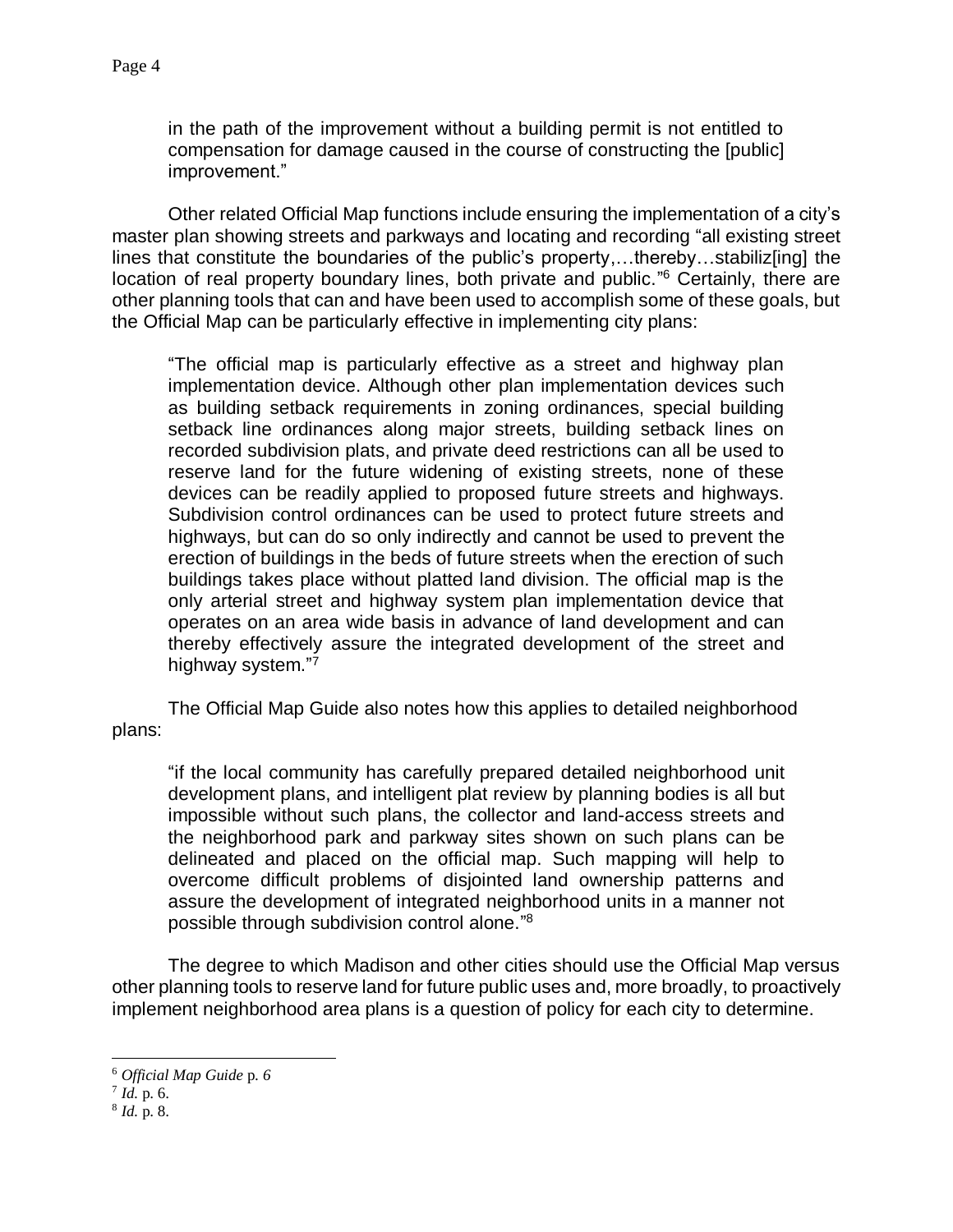in the path of the improvement without a building permit is not entitled to compensation for damage caused in the course of constructing the [public] improvement."

Other related Official Map functions include ensuring the implementation of a city's master plan showing streets and parkways and locating and recording "all existing street lines that constitute the boundaries of the public's property,...thereby...stabiliz[ing] the location of real property boundary lines, both private and public."<sup>6</sup> Certainly, there are other planning tools that can and have been used to accomplish some of these goals, but the Official Map can be particularly effective in implementing city plans:

"The official map is particularly effective as a street and highway plan implementation device. Although other plan implementation devices such as building setback requirements in zoning ordinances, special building setback line ordinances along major streets, building setback lines on recorded subdivision plats, and private deed restrictions can all be used to reserve land for the future widening of existing streets, none of these devices can be readily applied to proposed future streets and highways. Subdivision control ordinances can be used to protect future streets and highways, but can do so only indirectly and cannot be used to prevent the erection of buildings in the beds of future streets when the erection of such buildings takes place without platted land division. The official map is the only arterial street and highway system plan implementation device that operates on an area wide basis in advance of land development and can thereby effectively assure the integrated development of the street and highway system."7

The Official Map Guide also notes how this applies to detailed neighborhood plans:

"if the local community has carefully prepared detailed neighborhood unit development plans, and intelligent plat review by planning bodies is all but impossible without such plans, the collector and land-access streets and the neighborhood park and parkway sites shown on such plans can be delineated and placed on the official map. Such mapping will help to overcome difficult problems of disjointed land ownership patterns and assure the development of integrated neighborhood units in a manner not possible through subdivision control alone." 8

The degree to which Madison and other cities should use the Official Map versus other planning tools to reserve land for future public uses and, more broadly, to proactively implement neighborhood area plans is a question of policy for each city to determine.

l

<sup>6</sup> *Official Map Guide* p. *6*

<sup>7</sup> *Id.* p. 6.

<sup>8</sup> *Id.* p. 8.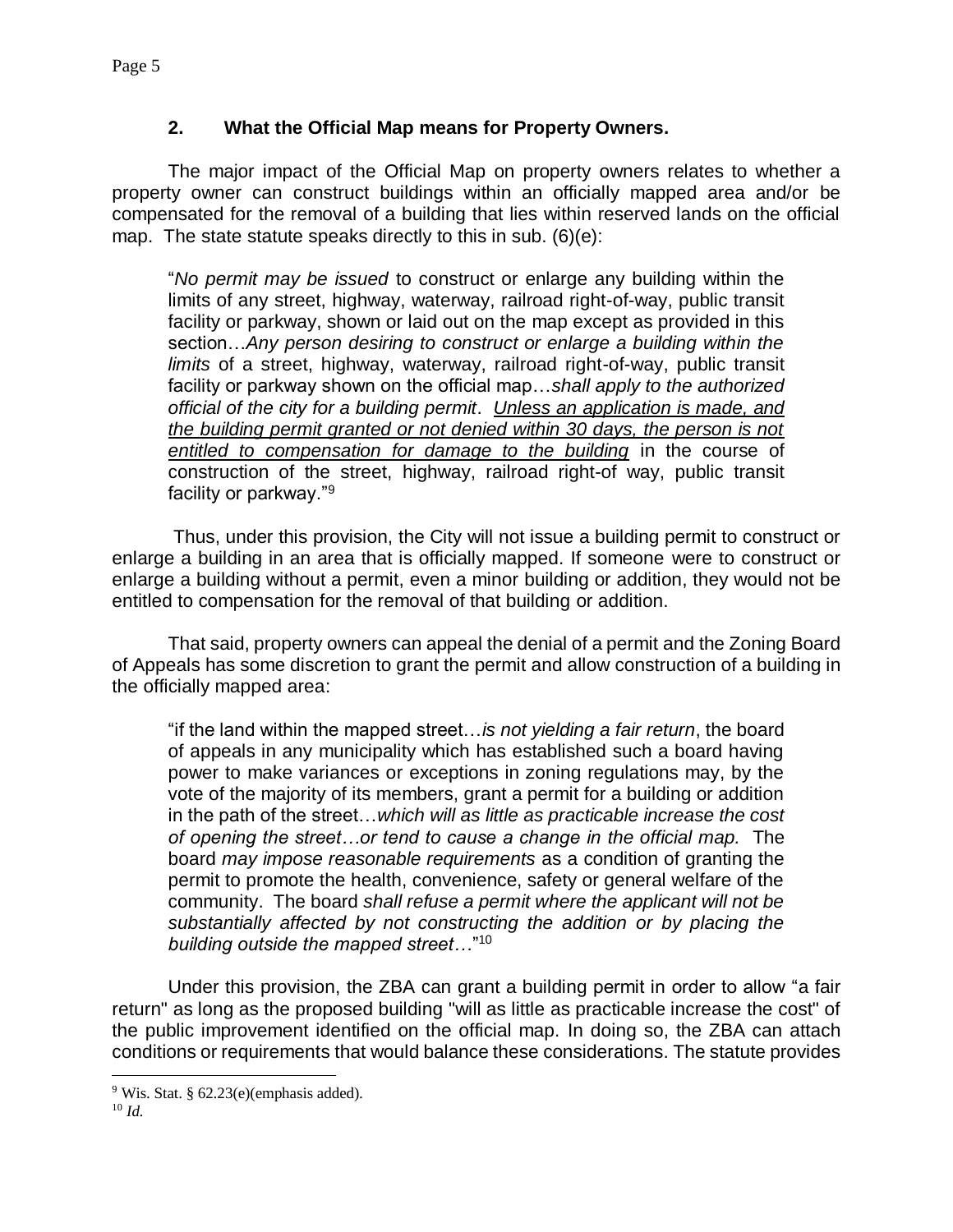# **2. What the Official Map means for Property Owners.**

The major impact of the Official Map on property owners relates to whether a property owner can construct buildings within an officially mapped area and/or be compensated for the removal of a building that lies within reserved lands on the official map. The state statute speaks directly to this in sub. (6)(e):

"*No permit may be issued* to construct or enlarge any building within the limits of any street, highway, waterway, railroad right-of-way, public transit facility or parkway, shown or laid out on the map except as provided in this section…*Any person desiring to construct or enlarge a building within the limits* of a street, highway, waterway, railroad right-of-way, public transit facility or parkway shown on the official map…*shall apply to the authorized official of the city for a building permit*. *Unless an application is made, and the building permit granted or not denied within 30 days, the person is not entitled to compensation for damage to the building* in the course of construction of the street, highway, railroad right-of way, public transit facility or parkway."<sup>9</sup>

 Thus, under this provision, the City will not issue a building permit to construct or enlarge a building in an area that is officially mapped. If someone were to construct or enlarge a building without a permit, even a minor building or addition, they would not be entitled to compensation for the removal of that building or addition.

That said, property owners can appeal the denial of a permit and the Zoning Board of Appeals has some discretion to grant the permit and allow construction of a building in the officially mapped area:

"if the land within the mapped street…*is not yielding a fair return*, the board of appeals in any municipality which has established such a board having power to make variances or exceptions in zoning regulations may, by the vote of the majority of its members, grant a permit for a building or addition in the path of the street…*which will as little as practicable increase the cost of opening the street…or tend to cause a change in the official map.* The board *may impose reasonable requirements* as a condition of granting the permit to promote the health, convenience, safety or general welfare of the community. The board *shall refuse a permit where the applicant will not be substantially affected by not constructing the addition or by placing the building outside the mapped street…*" 10

Under this provision, the ZBA can grant a building permit in order to allow "a fair return" as long as the proposed building "will as little as practicable increase the cost" of the public improvement identified on the official map. In doing so, the ZBA can attach conditions or requirements that would balance these considerations. The statute provides

 $9$  Wis. Stat. § 62.23(e)(emphasis added).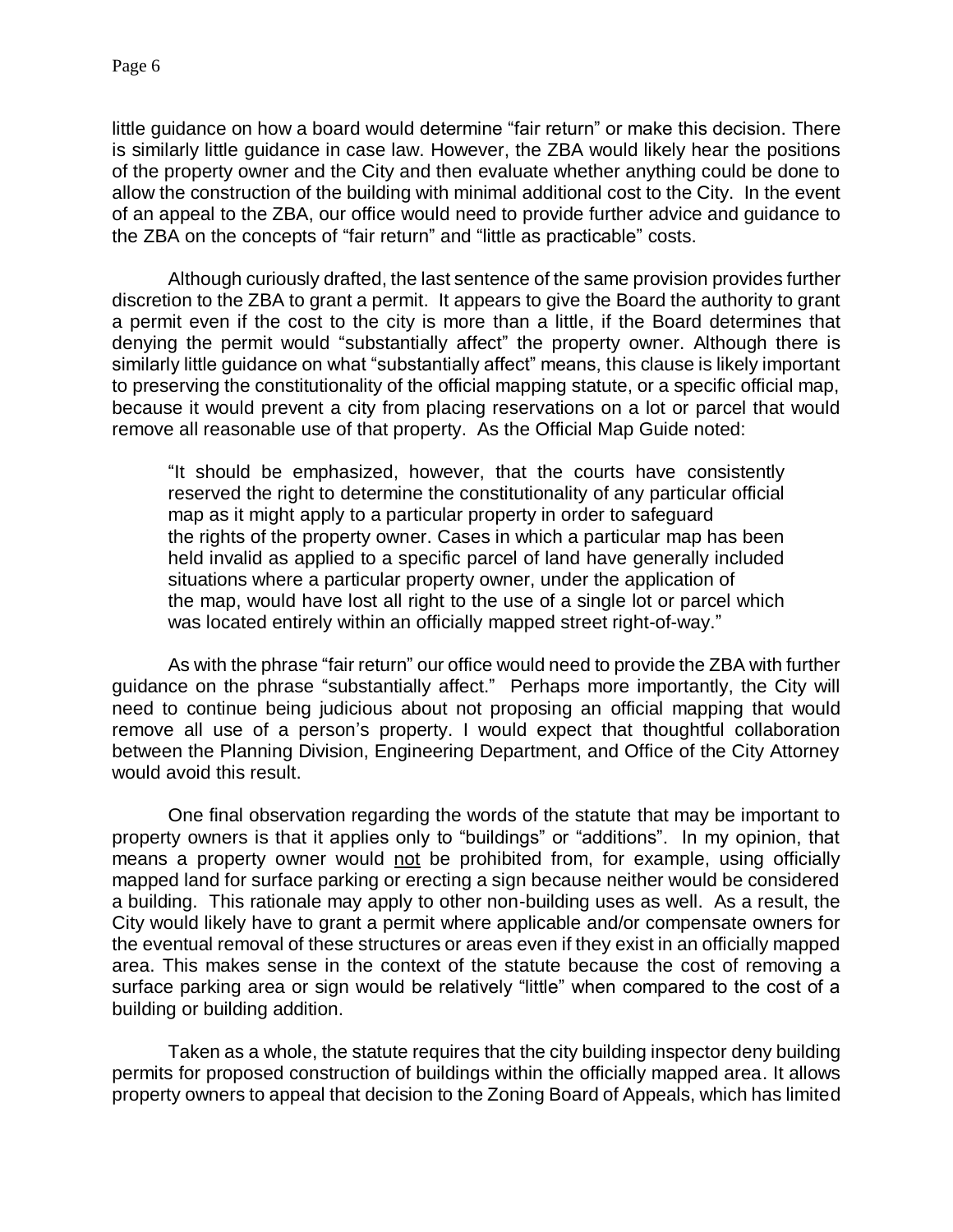little guidance on how a board would determine "fair return" or make this decision. There is similarly little guidance in case law. However, the ZBA would likely hear the positions of the property owner and the City and then evaluate whether anything could be done to allow the construction of the building with minimal additional cost to the City. In the event of an appeal to the ZBA, our office would need to provide further advice and guidance to the ZBA on the concepts of "fair return" and "little as practicable" costs.

Although curiously drafted, the last sentence of the same provision provides further discretion to the ZBA to grant a permit. It appears to give the Board the authority to grant a permit even if the cost to the city is more than a little, if the Board determines that denying the permit would "substantially affect" the property owner. Although there is similarly little guidance on what "substantially affect" means, this clause is likely important to preserving the constitutionality of the official mapping statute, or a specific official map, because it would prevent a city from placing reservations on a lot or parcel that would remove all reasonable use of that property. As the Official Map Guide noted:

"It should be emphasized, however, that the courts have consistently reserved the right to determine the constitutionality of any particular official map as it might apply to a particular property in order to safeguard the rights of the property owner. Cases in which a particular map has been held invalid as applied to a specific parcel of land have generally included situations where a particular property owner, under the application of the map, would have lost all right to the use of a single lot or parcel which was located entirely within an officially mapped street right-of-way."

As with the phrase "fair return" our office would need to provide the ZBA with further guidance on the phrase "substantially affect." Perhaps more importantly, the City will need to continue being judicious about not proposing an official mapping that would remove all use of a person's property. I would expect that thoughtful collaboration between the Planning Division, Engineering Department, and Office of the City Attorney would avoid this result.

One final observation regarding the words of the statute that may be important to property owners is that it applies only to "buildings" or "additions". In my opinion, that means a property owner would not be prohibited from, for example, using officially mapped land for surface parking or erecting a sign because neither would be considered a building. This rationale may apply to other non-building uses as well. As a result, the City would likely have to grant a permit where applicable and/or compensate owners for the eventual removal of these structures or areas even if they exist in an officially mapped area. This makes sense in the context of the statute because the cost of removing a surface parking area or sign would be relatively "little" when compared to the cost of a building or building addition.

Taken as a whole, the statute requires that the city building inspector deny building permits for proposed construction of buildings within the officially mapped area. It allows property owners to appeal that decision to the Zoning Board of Appeals, which has limited